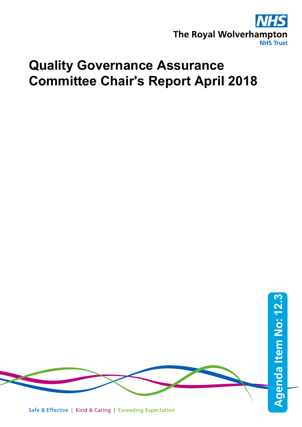

# **Quality Governance Assurance Committee Chair's Report April 2018**

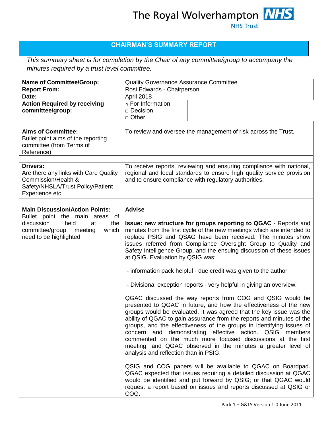## **CHAIRMAN'S SUMMARY REPORT**

*This summary sheet is for completion by the Chair of any committee/group to accompany the minutes required by a trust level committee.* 

| <b>Name of Committee/Group:</b>                                                                                                                                             | Quality Governance Assurance Committee                                                                                                                                                                                                                                                                                                                                                                                                                                                                                                                                                                                                                                                                                                                                                                                                                                                                                                                                                                                                                                                                                                                                                                                                                                                                                                                 |
|-----------------------------------------------------------------------------------------------------------------------------------------------------------------------------|--------------------------------------------------------------------------------------------------------------------------------------------------------------------------------------------------------------------------------------------------------------------------------------------------------------------------------------------------------------------------------------------------------------------------------------------------------------------------------------------------------------------------------------------------------------------------------------------------------------------------------------------------------------------------------------------------------------------------------------------------------------------------------------------------------------------------------------------------------------------------------------------------------------------------------------------------------------------------------------------------------------------------------------------------------------------------------------------------------------------------------------------------------------------------------------------------------------------------------------------------------------------------------------------------------------------------------------------------------|
| <b>Report From:</b>                                                                                                                                                         | Rosi Edwards - Chairperson                                                                                                                                                                                                                                                                                                                                                                                                                                                                                                                                                                                                                                                                                                                                                                                                                                                                                                                                                                                                                                                                                                                                                                                                                                                                                                                             |
| Date:                                                                                                                                                                       | April 2018                                                                                                                                                                                                                                                                                                                                                                                                                                                                                                                                                                                                                                                                                                                                                                                                                                                                                                                                                                                                                                                                                                                                                                                                                                                                                                                                             |
| <b>Action Required by receiving</b><br>committee/group:                                                                                                                     | $\sqrt{\frac{1}{1}}$ For Information<br>□ Decision<br>□ Other                                                                                                                                                                                                                                                                                                                                                                                                                                                                                                                                                                                                                                                                                                                                                                                                                                                                                                                                                                                                                                                                                                                                                                                                                                                                                          |
|                                                                                                                                                                             |                                                                                                                                                                                                                                                                                                                                                                                                                                                                                                                                                                                                                                                                                                                                                                                                                                                                                                                                                                                                                                                                                                                                                                                                                                                                                                                                                        |
| <b>Aims of Committee:</b><br>Bullet point aims of the reporting<br>committee (from Terms of<br>Reference)                                                                   | To review and oversee the management of risk across the Trust.                                                                                                                                                                                                                                                                                                                                                                                                                                                                                                                                                                                                                                                                                                                                                                                                                                                                                                                                                                                                                                                                                                                                                                                                                                                                                         |
| <b>Drivers:</b><br>Are there any links with Care Quality<br>Commission/Health &<br>Safety/NHSLA/Trust Policy/Patient<br>Experience etc.                                     | To receive reports, reviewing and ensuring compliance with national,<br>regional and local standards to ensure high quality service provision<br>and to ensure compliance with regulatory authorities.                                                                                                                                                                                                                                                                                                                                                                                                                                                                                                                                                                                                                                                                                                                                                                                                                                                                                                                                                                                                                                                                                                                                                 |
|                                                                                                                                                                             |                                                                                                                                                                                                                                                                                                                                                                                                                                                                                                                                                                                                                                                                                                                                                                                                                                                                                                                                                                                                                                                                                                                                                                                                                                                                                                                                                        |
| <b>Main Discussion/Action Points:</b><br>Bullet point the main areas of<br>discussion<br>held<br>the<br>at<br>committee/group<br>meeting<br>which<br>need to be highlighted | <b>Advise</b><br>Issue: new structure for groups reporting to QGAC - Reports and<br>minutes from the first cycle of the new meetings which are intended to<br>replace PSIG and QSAG have been received. The minutes show<br>issues referred from Compliance Oversight Group to Quality and<br>Safety Intelligence Group, and the ensuing discussion of these issues<br>at QSIG. Evaluation by QSIG was:<br>- information pack helpful - due credit was given to the author<br>- Divisional exception reports - very helpful in giving an overview.<br>QGAC discussed the way reports from COG and QSIG would be<br>presented to QGAC in future, and how the effectiveness of the new<br>groups would be evaluated. It was agreed that the key issue was the<br>ability of QGAC to gain assurance from the reports and minutes of the<br>groups, and the effectiveness of the groups in identifying issues of<br>concern and demonstrating effective action. QSIG members<br>commented on the much more focused discussions at the first<br>meeting, and QGAC observed in the minutes a greater level of<br>analysis and reflection than in PSIG.<br>QSIG and COG papers will be available to QGAC on Boardpad.<br>QGAC expected that issues requiring a detailed discussion at QGAC<br>would be identified and put forward by QSIG; or that QGAC would |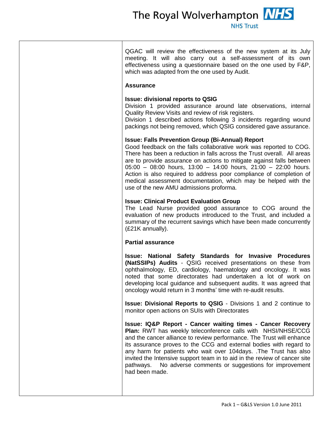The Royal Wolverhampton **NHS NHS Trust** 

QGAC will review the effectiveness of the new system at its July meeting. It will also carry out a self-assessment of its own effectiveness using a questionnaire based on the one used by F&P, which was adapted from the one used by Audit.

#### **Assurance**

### **Issue: divisional reports to QSIG**

Division 1 provided assurance around late observations, internal Quality Review Visits and review of risk registers.

Division 1 described actions following 3 incidents regarding wound packings not being removed, which QSIG considered gave assurance.

### **Issue: Falls Prevention Group (Bi-Annual) Report**

Good feedback on the falls collaborative work was reported to COG. There has been a reduction in falls across the Trust overall. All areas are to provide assurance on actions to mitigate against falls between 05:00 – 08:00 hours, 13:00 – 14:00 hours, 21:00 – 22:00 hours. Action is also required to address poor compliance of completion of medical assessment documentation, which may be helped with the use of the new AMU admissions proforma.

### **Issue: Clinical Product Evaluation Group**

The Lead Nurse provided good assurance to COG around the evaluation of new products introduced to the Trust, and included a summary of the recurrent savings which have been made concurrently (£21K annually).

### **Partial assurance**

**Issue: National Safety Standards for Invasive Procedures (NatSSIPs) Audits** - QSIG received presentations on these from ophthalmology, ED, cardiology, haematology and oncology. It was noted that some directorates had undertaken a lot of work on developing local guidance and subsequent audits. It was agreed that oncology would return in 3 months' time with re-audit results.

**Issue: Divisional Reports to QSIG** - Divisions 1 and 2 continue to monitor open actions on SUIs with Directorates

**Issue: IQ&P Report - Cancer waiting times - Cancer Recovery Plan:** RWT has weekly teleconference calls with NHSI/NHSE/CCG and the cancer alliance to review performance. The Trust will enhance its assurance proves to the CCG and external bodies with regard to any harm for patients who wait over 104days. .The Trust has also invited the Intensive support team in to aid in the review of cancer site pathways. No adverse comments or suggestions for improvement had been made.